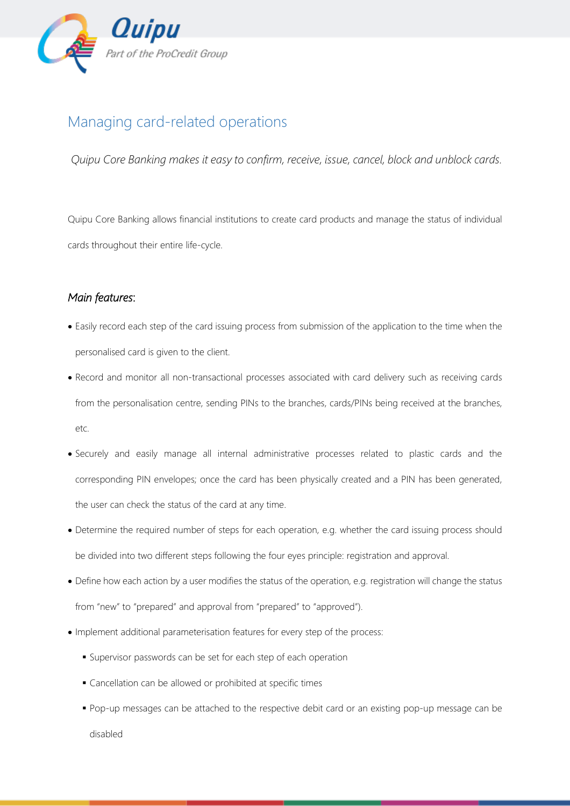

## Managing card-related operations

*Quipu Core Banking makes it easy to confirm, receive, issue, cancel, block and unblock cards.*

Quipu Core Banking allows financial institutions to create card products and manage the status of individual cards throughout their entire life-cycle.

## *Main features*:

- Easily record each step of the card issuing process from submission of the application to the time when the personalised card is given to the client.
- Record and monitor all non-transactional processes associated with card delivery such as receiving cards from the personalisation centre, sending PINs to the branches, cards/PINs being received at the branches, etc.
- Securely and easily manage all internal administrative processes related to plastic cards and the corresponding PIN envelopes; once the card has been physically created and a PIN has been generated, the user can check the status of the card at any time.
- Determine the required number of steps for each operation, e.g. whether the card issuing process should be divided into two different steps following the four eyes principle: registration and approval.
- Define how each action by a user modifies the status of the operation, e.g. registration will change the status from "new" to "prepared" and approval from "prepared" to "approved").
- Implement additional parameterisation features for every step of the process:
	- Supervisor passwords can be set for each step of each operation
	- Cancellation can be allowed or prohibited at specific times
	- **Pop-up messages can be attached to the respective debit card or an existing pop-up message can be** disabled